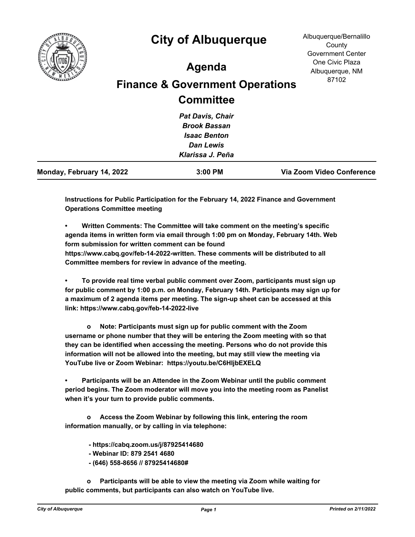

## **City of Albuquerque**

## **Agenda**

## **Finance & Government Operations Committee**

**Instructions for Public Participation for the February 14, 2022 Finance and Government Operations Committee meeting**

**• Written Comments: The Committee will take comment on the meeting's specific agenda items in written form via email through 1:00 pm on Monday, February 14th. Web form submission for written comment can be found** 

**https://www.cabq.gov/feb-14-2022-written. These comments will be distributed to all Committee members for review in advance of the meeting.**

**• To provide real time verbal public comment over Zoom, participants must sign up for public comment by 1:00 p.m. on Monday, February 14th. Participants may sign up for a maximum of 2 agenda items per meeting. The sign-up sheet can be accessed at this link: https://www.cabq.gov/feb-14-2022-live**

 **o Note: Participants must sign up for public comment with the Zoom username or phone number that they will be entering the Zoom meeting with so that they can be identified when accessing the meeting. Persons who do not provide this information will not be allowed into the meeting, but may still view the meeting via YouTube live or Zoom Webinar: https://youtu.be/C6HIjbEXELQ**

**• Participants will be an Attendee in the Zoom Webinar until the public comment period begins. The Zoom moderator will move you into the meeting room as Panelist when it's your turn to provide public comments.**

 **o Access the Zoom Webinar by following this link, entering the room information manually, or by calling in via telephone:**

 **- https://cabq.zoom.us/j/87925414680** 

- **Webinar ID: 879 2541 4680**
- **(646) 558-8656 // 87925414680#**

 **o Participants will be able to view the meeting via Zoom while waiting for public comments, but participants can also watch on YouTube live.**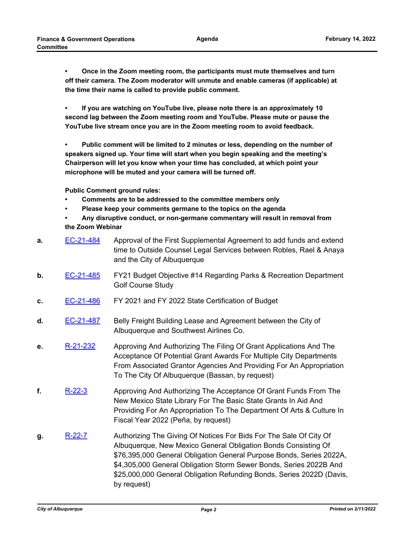**• Once in the Zoom meeting room, the participants must mute themselves and turn off their camera. The Zoom moderator will unmute and enable cameras (if applicable) at the time their name is called to provide public comment.**

**• If you are watching on YouTube live, please note there is an approximately 10 second lag between the Zoom meeting room and YouTube. Please mute or pause the YouTube live stream once you are in the Zoom meeting room to avoid feedback.**

**• Public comment will be limited to 2 minutes or less, depending on the number of speakers signed up. Your time will start when you begin speaking and the meeting's Chairperson will let you know when your time has concluded, at which point your microphone will be muted and your camera will be turned off.**

**Public Comment ground rules:**

- **Comments are to be addressed to the committee members only**
- **Please keep your comments germane to the topics on the agenda**
- **Any disruptive conduct, or non-germane commentary will result in removal from the Zoom Webinar**
- **a.** [EC-21-484](http://cabq.legistar.com/gateway.aspx?m=l&id=/matter.aspx?key=12742) Approval of the First Supplemental Agreement to add funds and extend time to Outside Counsel Legal Services between Robles, Rael & Anaya and the City of Albuquerque
- **b.** [EC-21-485](http://cabq.legistar.com/gateway.aspx?m=l&id=/matter.aspx?key=12745) FY21 Budget Objective #14 Regarding Parks & Recreation Department Golf Course Study
- **c.** [EC-21-486](http://cabq.legistar.com/gateway.aspx?m=l&id=/matter.aspx?key=12746) FY 2021 and FY 2022 State Certification of Budget
- **d.** [EC-21-487](http://cabq.legistar.com/gateway.aspx?m=l&id=/matter.aspx?key=12747) Belly Freight Building Lease and Agreement between the City of Albuquerque and Southwest Airlines Co.
- **e.** [R-21-232](http://cabq.legistar.com/gateway.aspx?m=l&id=/matter.aspx?key=12753) Approving And Authorizing The Filing Of Grant Applications And The Acceptance Of Potential Grant Awards For Multiple City Departments From Associated Grantor Agencies And Providing For An Appropriation To The City Of Albuquerque (Bassan, by request)
- **f.** [R-22-3](http://cabq.legistar.com/gateway.aspx?m=l&id=/matter.aspx?key=12775) Approving And Authorizing The Acceptance Of Grant Funds From The New Mexico State Library For The Basic State Grants In Aid And Providing For An Appropriation To The Department Of Arts & Culture In Fiscal Year 2022 (Peña, by request)
- **g.** [R-22-7](http://cabq.legistar.com/gateway.aspx?m=l&id=/matter.aspx?key=12797) Authorizing The Giving Of Notices For Bids For The Sale Of City Of Albuquerque, New Mexico General Obligation Bonds Consisting Of \$76,395,000 General Obligation General Purpose Bonds, Series 2022A, \$4,305,000 General Obligation Storm Sewer Bonds, Series 2022B And \$25,000,000 General Obligation Refunding Bonds, Series 2022D (Davis, by request)